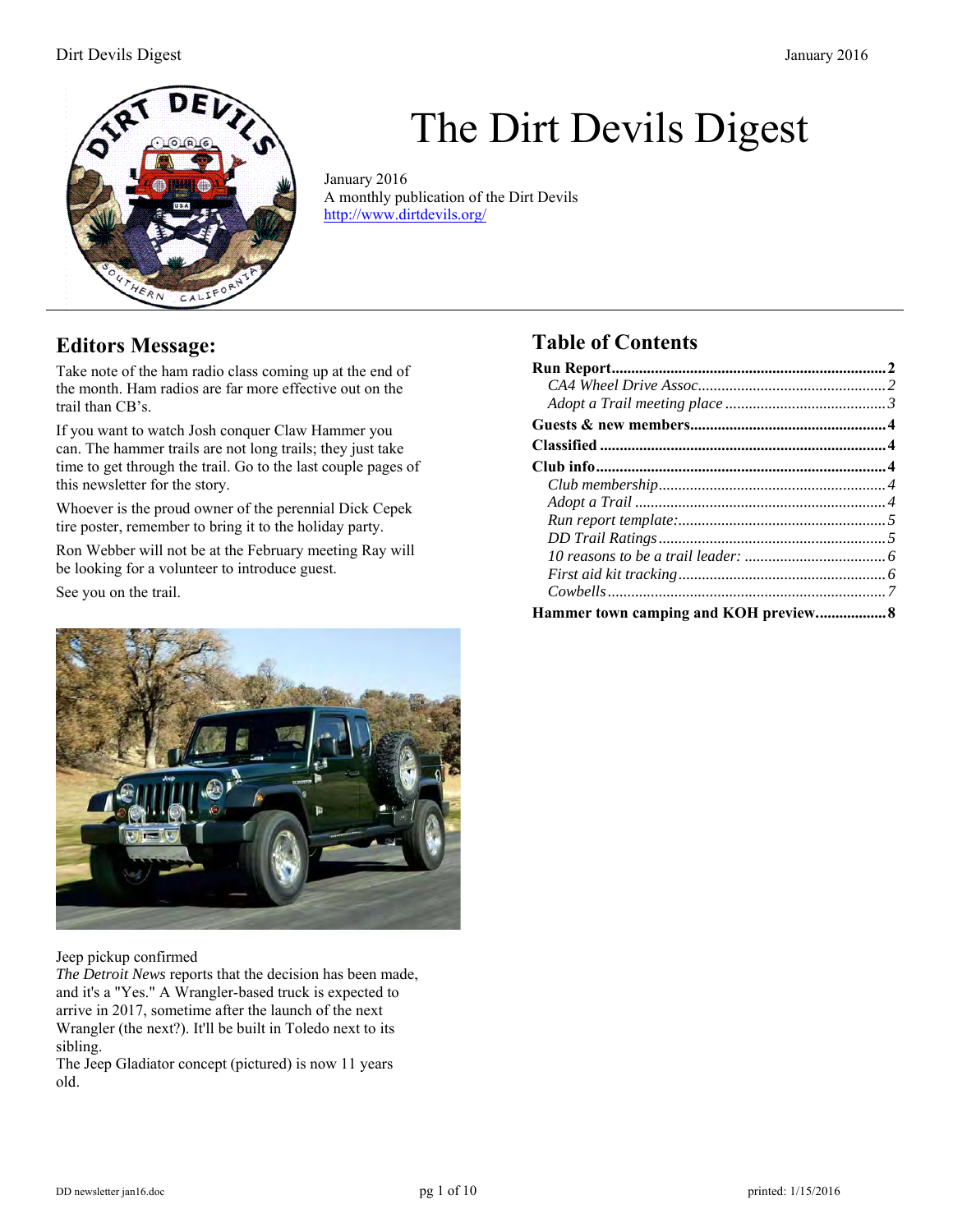

# The Dirt Devils Digest

January 2016 A monthly publication of the Dirt Devils http://www.dirtdevils.org/

# **Editors Message:**

Take note of the ham radio class coming up at the end of the month. Ham radios are far more effective out on the trail than CB's.

If you want to watch Josh conquer Claw Hammer you can. The hammer trails are not long trails; they just take time to get through the trail. Go to the last couple pages of this newsletter for the story.

Whoever is the proud owner of the perennial Dick Cepek tire poster, remember to bring it to the holiday party.

Ron Webber will not be at the February meeting Ray will be looking for a volunteer to introduce guest.

See you on the trail.



#### Jeep pickup confirmed

*The Detroit News* reports that the decision has been made, and it's a "Yes." A Wrangler-based truck is expected to arrive in 2017, sometime after the launch of the next Wrangler (the next?). It'll be built in Toledo next to its sibling.

The Jeep Gladiator concept (pictured) is now 11 years old.

# **Table of Contents**

| Hammer town camping and KOH preview 8 |  |
|---------------------------------------|--|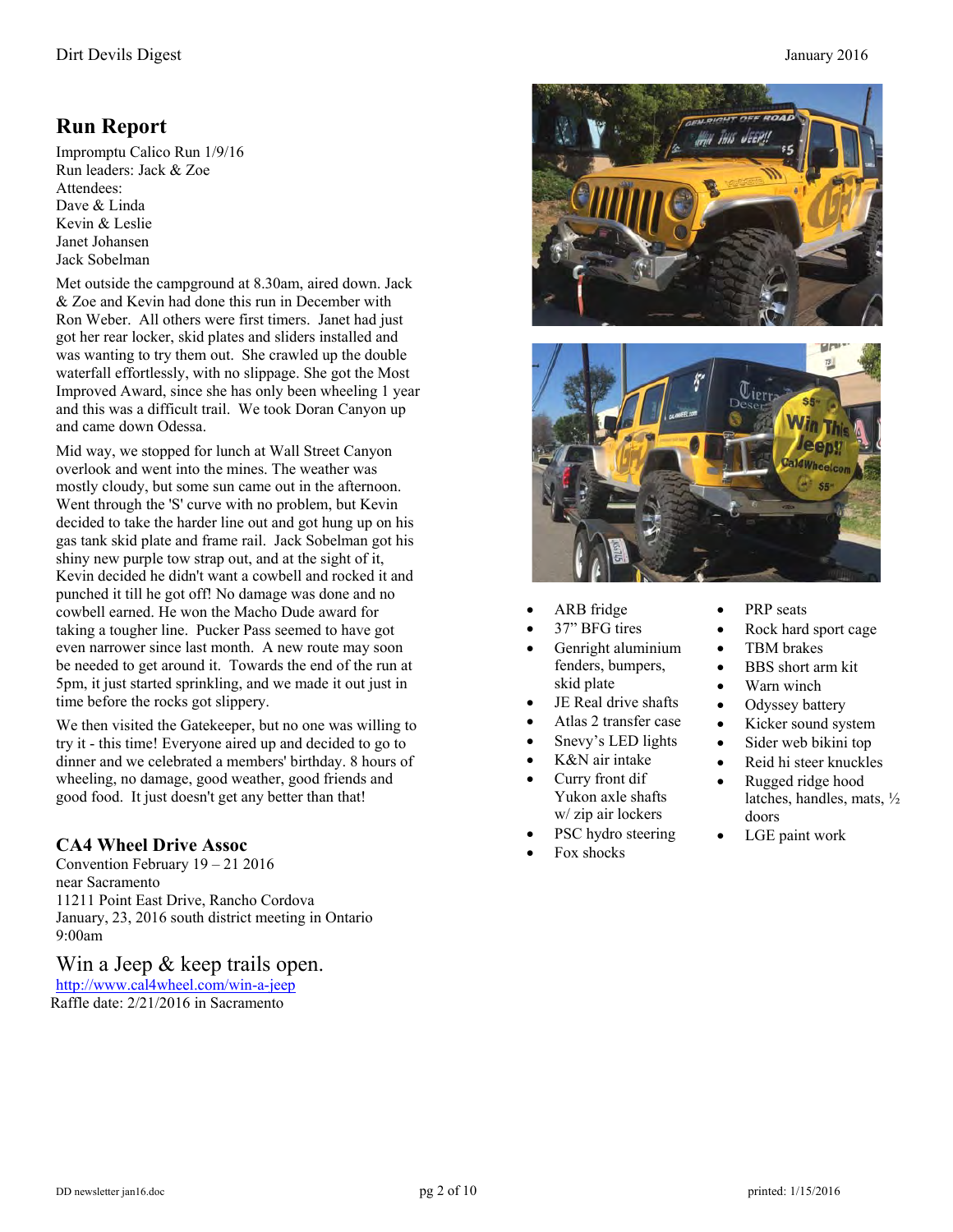# **Run Report**

Impromptu Calico Run 1/9/16 Run leaders: Jack & Zoe Attendees: Dave & Linda Kevin & Leslie Janet Johansen Jack Sobelman

Met outside the campground at 8.30am, aired down. Jack & Zoe and Kevin had done this run in December with Ron Weber. All others were first timers. Janet had just got her rear locker, skid plates and sliders installed and was wanting to try them out. She crawled up the double waterfall effortlessly, with no slippage. She got the Most Improved Award, since she has only been wheeling 1 year and this was a difficult trail. We took Doran Canyon up and came down Odessa.

Mid way, we stopped for lunch at Wall Street Canyon overlook and went into the mines. The weather was mostly cloudy, but some sun came out in the afternoon. Went through the 'S' curve with no problem, but Kevin decided to take the harder line out and got hung up on his gas tank skid plate and frame rail. Jack Sobelman got his shiny new purple tow strap out, and at the sight of it, Kevin decided he didn't want a cowbell and rocked it and punched it till he got off! No damage was done and no cowbell earned. He won the Macho Dude award for taking a tougher line. Pucker Pass seemed to have got even narrower since last month. A new route may soon be needed to get around it. Towards the end of the run at 5pm, it just started sprinkling, and we made it out just in time before the rocks got slippery.

We then visited the Gatekeeper, but no one was willing to try it - this time! Everyone aired up and decided to go to dinner and we celebrated a members' birthday. 8 hours of wheeling, no damage, good weather, good friends and good food. It just doesn't get any better than that!

## **CA4 Wheel Drive Assoc**

Convention February 19 – 21 2016 near Sacramento 11211 Point East Drive, Rancho Cordova January, 23, 2016 south district meeting in Ontario 9:00am

## Win a Jeep & keep trails open.

http://www.cal4wheel.com/win-a-jeep Raffle date: 2/21/2016 in Sacramento





- ARB fridge
- 37" BFG tires
- Genright aluminium fenders, bumpers, skid plate
- JE Real drive shafts
- Atlas 2 transfer case
- Snevy's LED lights
- K&N air intake
- Curry front dif Yukon axle shafts w/ zip air lockers
- PSC hydro steering
- Fox shocks
- PRP seats
- Rock hard sport cage
- TBM brakes
- BBS short arm kit
- Warn winch
- Odyssey battery
- Kicker sound system
- Sider web bikini top
- Reid hi steer knuckles
- Rugged ridge hood latches, handles, mats, ½ doors
- LGE paint work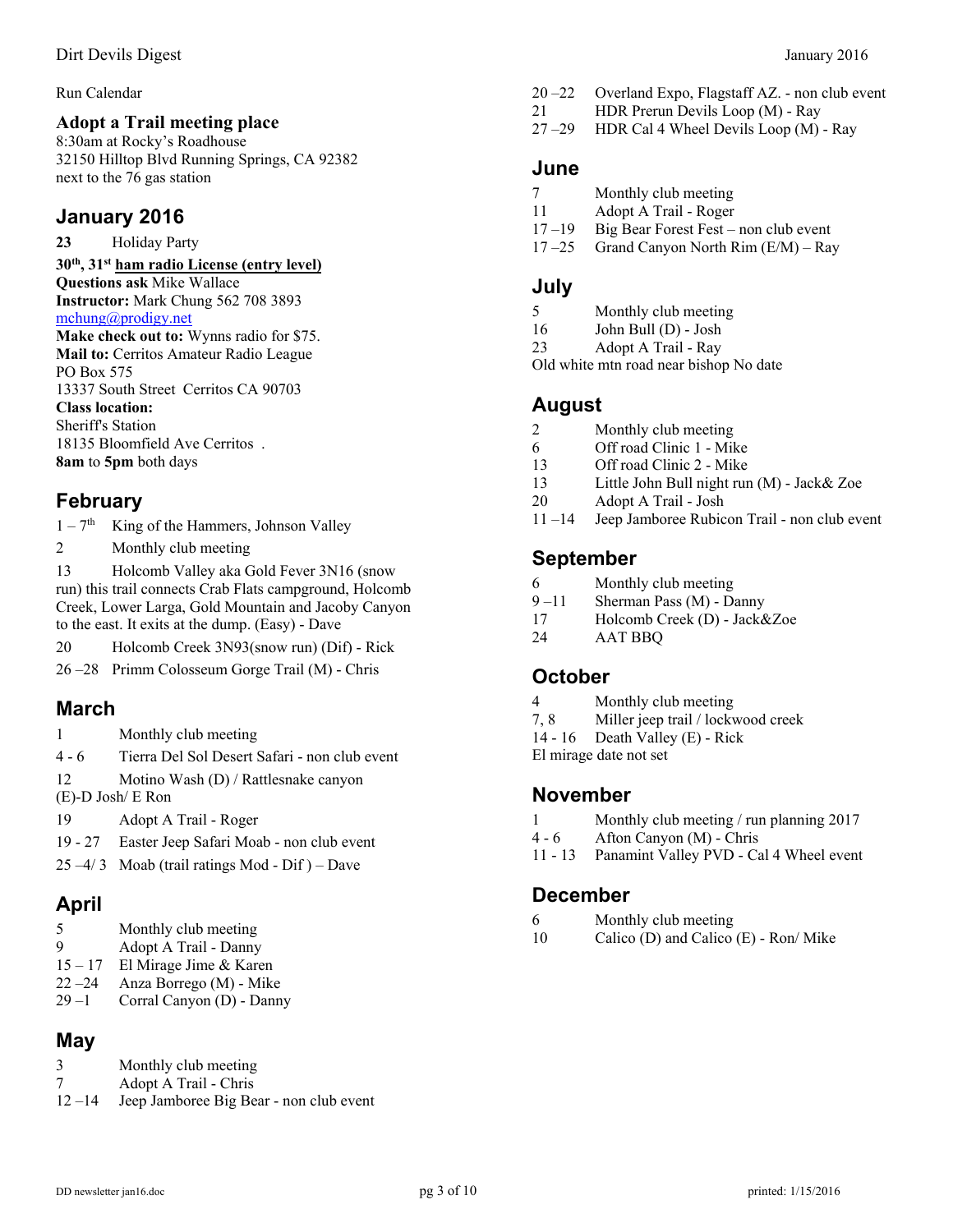## **Adopt a Trail meeting place**

8:30am at Rocky's Roadhouse 32150 Hilltop Blvd Running Springs, CA 92382 next to the 76 gas station

# **January 2016**

**23** Holiday Party

**30th, 31st ham radio License (entry level) Questions ask** Mike Wallace **Instructor:** Mark Chung 562 708 3893 mchung@prodigy.net **Make check out to:** Wynns radio for \$75. **Mail to:** Cerritos Amateur Radio League PO Box 575 13337 South Street Cerritos CA 90703 **Class location:**  Sheriff's Station 18135 Bloomfield Ave Cerritos . **8am** to **5pm** both days

# **February**

 $1 - 7<sup>th</sup>$  King of the Hammers, Johnson Valley

2 Monthly club meeting

13 Holcomb Valley aka Gold Fever 3N16 (snow run) this trail connects Crab Flats campground, Holcomb Creek, Lower Larga, Gold Mountain and Jacoby Canyon to the east. It exits at the dump. (Easy) - Dave

20 Holcomb Creek 3N93(snow run) (Dif) - Rick

26 –28 Primm Colosseum Gorge Trail (M) - Chris

# **March**

- 1 Monthly club meeting
- 4 6 Tierra Del Sol Desert Safari non club event
- 12 Motino Wash (D) / Rattlesnake canyon
- (E)-D Josh/ E Ron
- 19 Adopt A Trail Roger
- 19 27 Easter Jeep Safari Moab non club event
- $25 4/3$  Moab (trail ratings Mod Dif) Dave

# **April**

- 5 Monthly club meeting
- 9 Adopt A Trail Danny
- 15 17 El Mirage Jime & Karen
- 22 –24 Anza Borrego (M) Mike
- Corral Canyon (D) Danny

# **May**

| Monthly club meeting |
|----------------------|
|                      |

- 7 Adopt A Trail Chris
- 12 –14 Jeep Jamboree Big Bear non club event
- 20 –22 Overland Expo, Flagstaff AZ. non club event
- 21 HDR Prerun Devils Loop (M) Ray
- 27 –29 HDR Cal 4 Wheel Devils Loop (M) Ray

## **June**

- 7 Monthly club meeting
- 11 Adopt A Trail Roger
- 17 –19 Big Bear Forest Fest non club event
- 17 –25 Grand Canyon North Rim (E/M) Ray

## **July**

- 5 Monthly club meeting
- 16 John Bull (D) Josh
- 23 Adopt A Trail Ray

Old white mtn road near bishop No date

# **August**

- 2 Monthly club meeting
- 6 Off road Clinic 1 Mike
- 13 Off road Clinic 2 Mike
- 13 Little John Bull night run (M) Jack& Zoe
- 20 Adopt A Trail Josh
- 11 –14 Jeep Jamboree Rubicon Trail non club event

# **September**

- 6 Monthly club meeting<br>9-11 Sherman Pass  $(M)$  D
- Sherman Pass (M) Danny
- 17 Holcomb Creek (D) Jack&Zoe
- 24 AAT BBQ

# **October**

- 4 Monthly club meeting
- 7, 8 Miller jeep trail / lockwood creek

14 - 16 Death Valley (E) - Rick

El mirage date not set

# **November**

- 1 Monthly club meeting / run planning 2017
- 4 6 Afton Canyon (M) Chris
- 11 13 Panamint Valley PVD Cal 4 Wheel event

# **December**

- 6 Monthly club meeting
- 10 Calico (D) and Calico (E) Ron/ Mike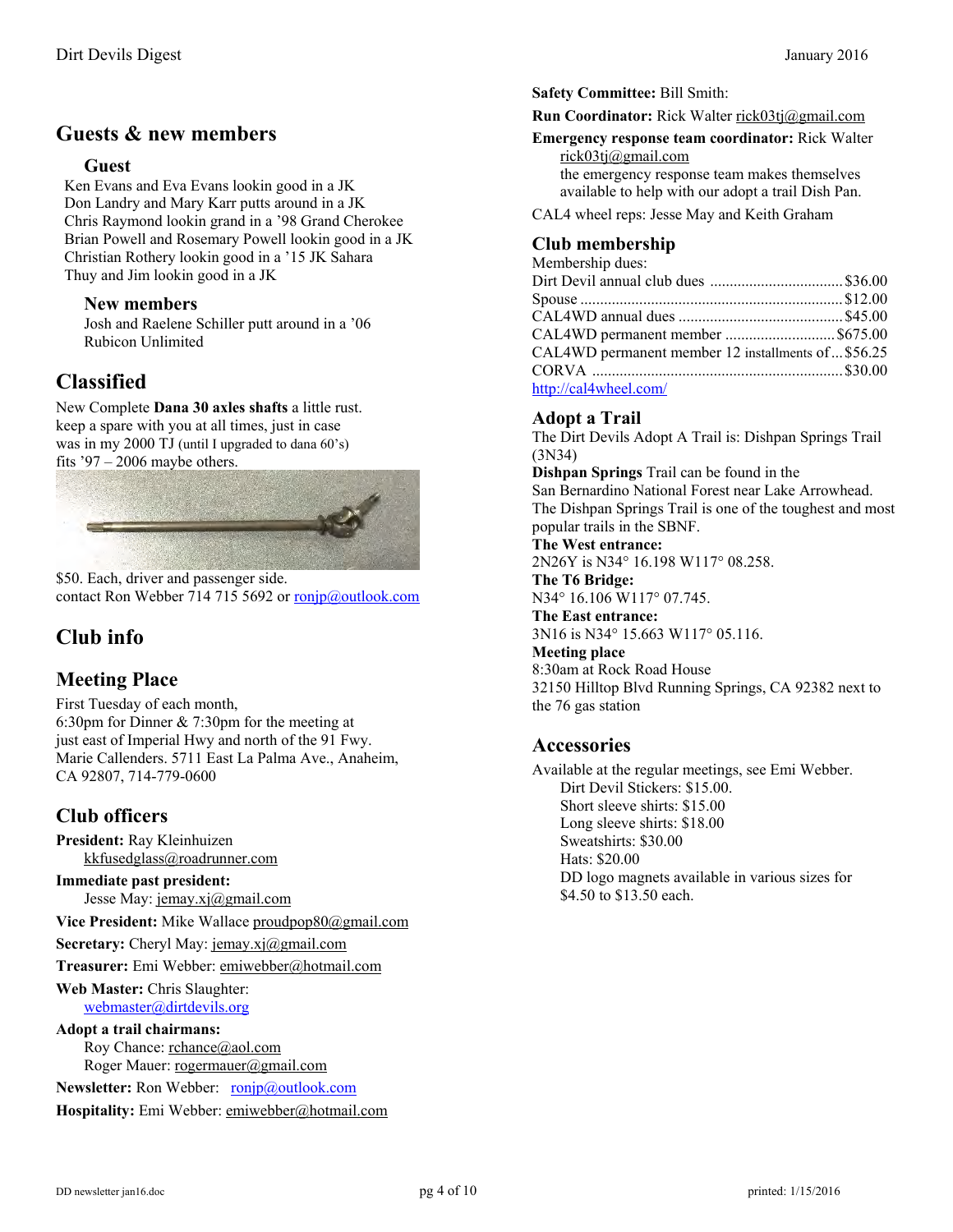# **Guests & new members**

## **Guest**

Ken Evans and Eva Evans lookin good in a JK Don Landry and Mary Karr putts around in a JK Chris Raymond lookin grand in a '98 Grand Cherokee Brian Powell and Rosemary Powell lookin good in a JK Christian Rothery lookin good in a '15 JK Sahara Thuy and Jim lookin good in a JK

## **New members**

Josh and Raelene Schiller putt around in a '06 Rubicon Unlimited

# **Classified**

New Complete **Dana 30 axles shafts** a little rust. keep a spare with you at all times, just in case was in my 2000 TJ (until I upgraded to dana 60's) fits  $97 - 2006$  maybe others.



 \$50. Each, driver and passenger side. contact Ron Webber 714 715 5692 or  $\overline{ronip}$ @outlook.com

# **Club info**

# **Meeting Place**

First Tuesday of each month, 6:30pm for Dinner & 7:30pm for the meeting at just east of Imperial Hwy and north of the 91 Fwy. Marie Callenders. 5711 East La Palma Ave., Anaheim, CA 92807, 714-779-0600

# **Club officers**

**President:** Ray Kleinhuizen kkfusedglass@roadrunner.com

**Immediate past president:** Jesse May: jemay.xj@gmail.com

**Vice President:** Mike Wallace proudpop80@gmail.com

**Secretary:** Cheryl May: jemay.xj@gmail.com

**Treasurer:** Emi Webber: emiwebber@hotmail.com

**Web Master:** Chris Slaughter: webmaster@dirtdevils.org

**Adopt a trail chairmans:**  Roy Chance: rchance@aol.com Roger Mauer: rogermauer@gmail.com

**Newsletter:** Ron Webber: ronjp@outlook.com Hospitality: Emi Webber: emiwebber@hotmail.com **Safety Committee:** Bill Smith:

**Run Coordinator:** Rick Walter rick03tj@gmail.com

## **Emergency response team coordinator:** Rick Walter

rick03tj@gmail.com the emergency response team makes themselves available to help with our adopt a trail Dish Pan.

CAL4 wheel reps: Jesse May and Keith Graham

## **Club membership**

| Membership dues:                                    |  |
|-----------------------------------------------------|--|
|                                                     |  |
|                                                     |  |
|                                                     |  |
| CAL4WD permanent member  \$675.00                   |  |
| CAL4WD permanent member 12 installments of  \$56.25 |  |
|                                                     |  |
| http://cal4wheel.com/                               |  |

## **Adopt a Trail**

The Dirt Devils Adopt A Trail is: Dishpan Springs Trail (3N34)

**Dishpan Springs** Trail can be found in the San Bernardino National Forest near Lake Arrowhead. The Dishpan Springs Trail is one of the toughest and most popular trails in the SBNF.

## **The West entrance:**

2N26Y is N34° 16.198 W117° 08.258.

**The T6 Bridge:** N34° 16.106 W117° 07.745.

```
The East entrance:
```
3N16 is N34° 15.663 W117° 05.116. **Meeting place**  8:30am at Rock Road House 32150 Hilltop Blvd Running Springs, CA 92382 next to the 76 gas station

## **Accessories**

Available at the regular meetings, see Emi Webber. Dirt Devil Stickers: \$15.00. Short sleeve shirts: \$15.00 Long sleeve shirts: \$18.00 Sweatshirts: \$30.00 Hats: \$20.00 DD logo magnets available in various sizes for \$4.50 to \$13.50 each.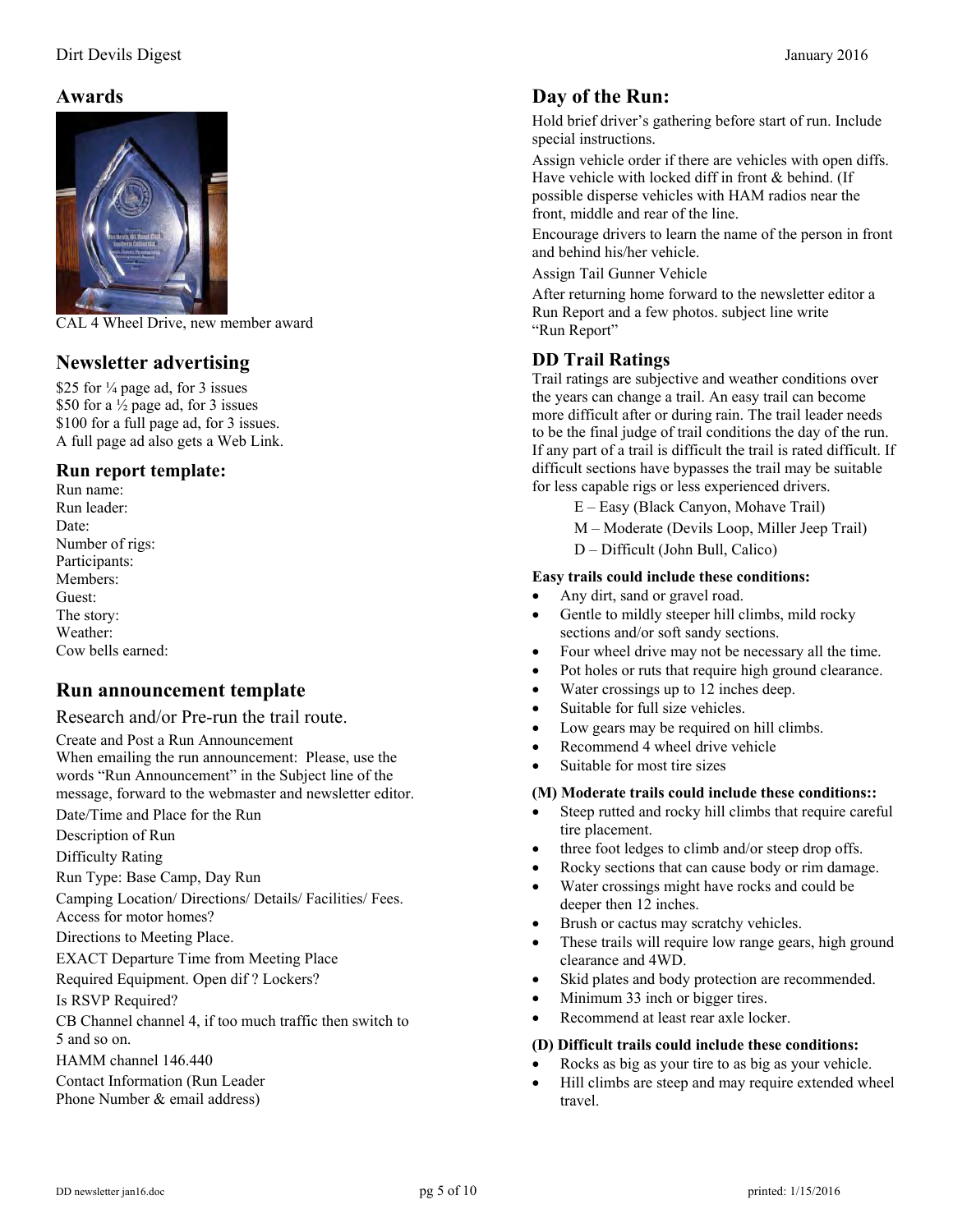

CAL 4 Wheel Drive, new member award

## **Newsletter advertising**

\$25 for  $\frac{1}{4}$  page ad, for 3 issues \$50 for a  $\frac{1}{2}$  page ad, for 3 issues \$100 for a full page ad, for 3 issues. A full page ad also gets a Web Link.

## **Run report template:**

Run name: Run leader: Date: Number of rigs: Participants: Members: Guest: The story: Weather: Cow bells earned:

## **Run announcement template**

#### Research and/or Pre-run the trail route.

Create and Post a Run Announcement When emailing the run announcement: Please, use the words "Run Announcement" in the Subject line of the message, forward to the webmaster and newsletter editor.

Date/Time and Place for the Run

Description of Run

Difficulty Rating

Run Type: Base Camp, Day Run

Camping Location/ Directions/ Details/ Facilities/ Fees.

Access for motor homes?

Directions to Meeting Place.

EXACT Departure Time from Meeting Place

Required Equipment. Open dif ? Lockers?

Is RSVP Required?

CB Channel channel 4, if too much traffic then switch to 5 and so on.

HAMM channel 146.440

Contact Information (Run Leader

Phone Number & email address)

# **Day of the Run:**

Hold brief driver's gathering before start of run. Include special instructions.

Assign vehicle order if there are vehicles with open diffs. Have vehicle with locked diff in front & behind. (If possible disperse vehicles with HAM radios near the front, middle and rear of the line.

Encourage drivers to learn the name of the person in front and behind his/her vehicle.

Assign Tail Gunner Vehicle

After returning home forward to the newsletter editor a Run Report and a few photos. subject line write "Run Report"

## **DD Trail Ratings**

Trail ratings are subjective and weather conditions over the years can change a trail. An easy trail can become more difficult after or during rain. The trail leader needs to be the final judge of trail conditions the day of the run. If any part of a trail is difficult the trail is rated difficult. If difficult sections have bypasses the trail may be suitable for less capable rigs or less experienced drivers.

- E Easy (Black Canyon, Mohave Trail)
- M Moderate (Devils Loop, Miller Jeep Trail)
- D Difficult (John Bull, Calico)

### **Easy trails could include these conditions:**

- Any dirt, sand or gravel road.
- Gentle to mildly steeper hill climbs, mild rocky sections and/or soft sandy sections.
- Four wheel drive may not be necessary all the time.
- Pot holes or ruts that require high ground clearance.
- Water crossings up to 12 inches deep.
- Suitable for full size vehicles.
- Low gears may be required on hill climbs.
- Recommend 4 wheel drive vehicle
- Suitable for most tire sizes

#### **(M) Moderate trails could include these conditions::**

- Steep rutted and rocky hill climbs that require careful tire placement.
- three foot ledges to climb and/or steep drop offs.
- Rocky sections that can cause body or rim damage.
- Water crossings might have rocks and could be deeper then 12 inches.
- Brush or cactus may scratchy vehicles.
- These trails will require low range gears, high ground clearance and 4WD.
- Skid plates and body protection are recommended.
- Minimum 33 inch or bigger tires.
- Recommend at least rear axle locker.

#### **(D) Difficult trails could include these conditions:**

- Rocks as big as your tire to as big as your vehicle.
- Hill climbs are steep and may require extended wheel travel.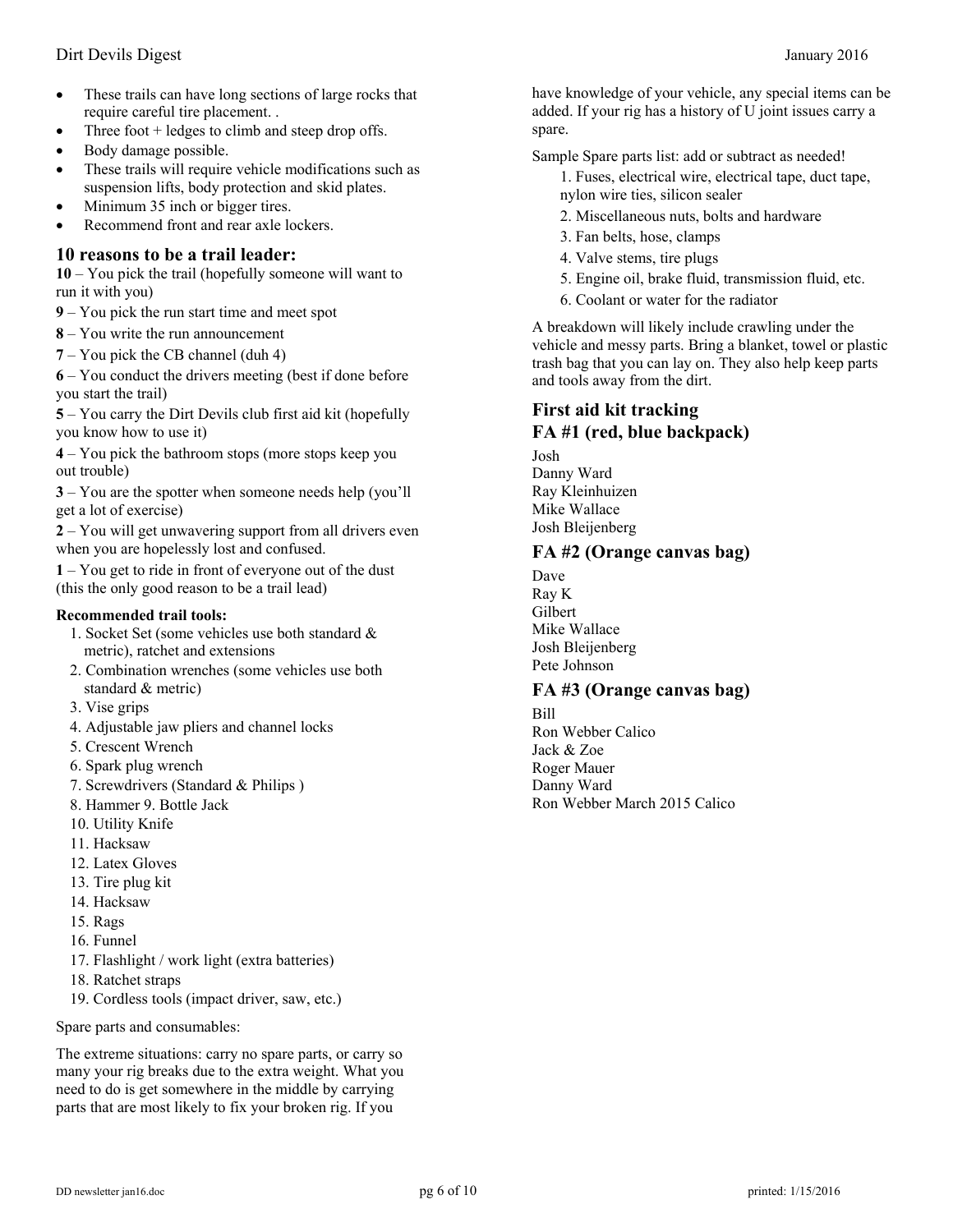- These trails can have long sections of large rocks that require careful tire placement. .
- Three foot  $+$  ledges to climb and steep drop offs.
- Body damage possible.
- These trails will require vehicle modifications such as suspension lifts, body protection and skid plates.
- Minimum 35 inch or bigger tires.
- Recommend front and rear axle lockers.

#### **10 reasons to be a trail leader:**

**10** – You pick the trail (hopefully someone will want to run it with you)

- **9** You pick the run start time and meet spot
- **8** You write the run announcement
- **7** You pick the CB channel (duh 4)

**6** – You conduct the drivers meeting (best if done before you start the trail)

**5** – You carry the Dirt Devils club first aid kit (hopefully you know how to use it)

**4** – You pick the bathroom stops (more stops keep you out trouble)

**3** – You are the spotter when someone needs help (you'll get a lot of exercise)

**2** – You will get unwavering support from all drivers even when you are hopelessly lost and confused.

**1** – You get to ride in front of everyone out of the dust (this the only good reason to be a trail lead)

#### **Recommended trail tools:**

- 1. Socket Set (some vehicles use both standard & metric), ratchet and extensions
- 2. Combination wrenches (some vehicles use both standard & metric)
- 3. Vise grips
- 4. Adjustable jaw pliers and channel locks
- 5. Crescent Wrench
- 6. Spark plug wrench
- 7. Screwdrivers (Standard & Philips )
- 8. Hammer 9. Bottle Jack
- 10. Utility Knife
- 11. Hacksaw
- 12. Latex Gloves
- 13. Tire plug kit
- 14. Hacksaw
- 15. Rags
- 16. Funnel
- 17. Flashlight / work light (extra batteries)
- 18. Ratchet straps
- 19. Cordless tools (impact driver, saw, etc.)

Spare parts and consumables:

The extreme situations: carry no spare parts, or carry so many your rig breaks due to the extra weight. What you need to do is get somewhere in the middle by carrying parts that are most likely to fix your broken rig. If you

have knowledge of your vehicle, any special items can be added. If your rig has a history of U joint issues carry a spare.

Sample Spare parts list: add or subtract as needed!

- 1. Fuses, electrical wire, electrical tape, duct tape, nylon wire ties, silicon sealer
- 2. Miscellaneous nuts, bolts and hardware
- 3. Fan belts, hose, clamps
- 4. Valve stems, tire plugs
- 5. Engine oil, brake fluid, transmission fluid, etc.
- 6. Coolant or water for the radiator

A breakdown will likely include crawling under the vehicle and messy parts. Bring a blanket, towel or plastic trash bag that you can lay on. They also help keep parts and tools away from the dirt.

### **First aid kit tracking FA #1 (red, blue backpack)**

Josh Danny Ward Ray Kleinhuizen Mike Wallace Josh Bleijenberg

### **FA #2 (Orange canvas bag)**

Dave Ray K Gilbert Mike Wallace Josh Bleijenberg Pete Johnson

## **FA #3 (Orange canvas bag)**

Bill Ron Webber Calico Jack & Zoe Roger Mauer Danny Ward Ron Webber March 2015 Calico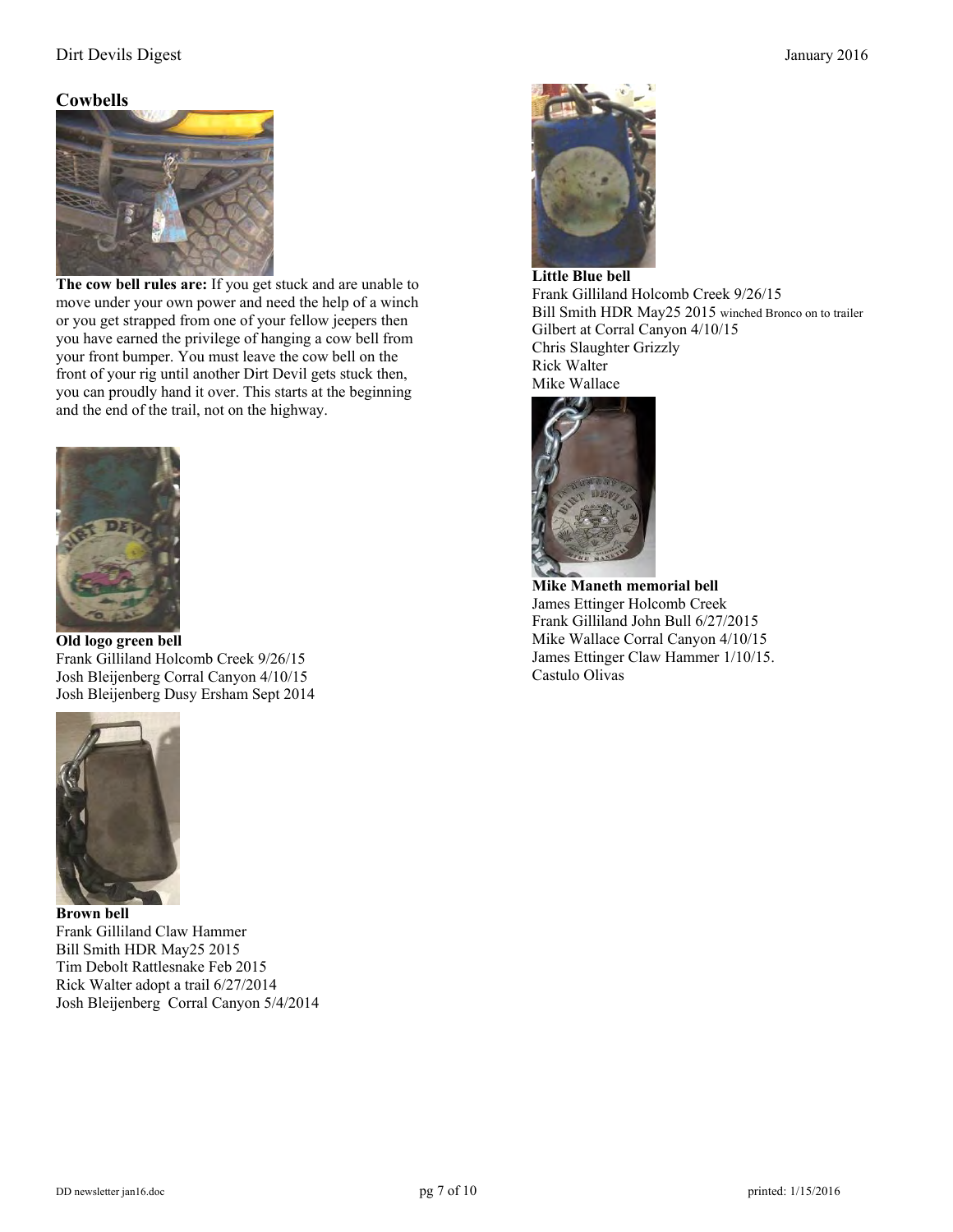#### **Cowbells**



**The cow bell rules are:** If you get stuck and are unable to move under your own power and need the help of a winch or you get strapped from one of your fellow jeepers then you have earned the privilege of hanging a cow bell from your front bumper. You must leave the cow bell on the front of your rig until another Dirt Devil gets stuck then, you can proudly hand it over. This starts at the beginning and the end of the trail, not on the highway.



**Old logo green bell**  Frank Gilliland Holcomb Creek 9/26/15 Josh Bleijenberg Corral Canyon 4/10/15 Josh Bleijenberg Dusy Ersham Sept 2014



**Brown bell**  Frank Gilliland Claw Hammer Bill Smith HDR May25 2015 Tim Debolt Rattlesnake Feb 2015 Rick Walter adopt a trail 6/27/2014 Josh Bleijenberg Corral Canyon 5/4/2014



**Little Blue bell**  Frank Gilliland Holcomb Creek 9/26/15 Bill Smith HDR May25 2015 winched Bronco on to trailer Gilbert at Corral Canyon 4/10/15 Chris Slaughter Grizzly Rick Walter Mike Wallace



**Mike Maneth memorial bell**  James Ettinger Holcomb Creek Frank Gilliland John Bull 6/27/2015 Mike Wallace Corral Canyon 4/10/15 James Ettinger Claw Hammer 1/10/15. Castulo Olivas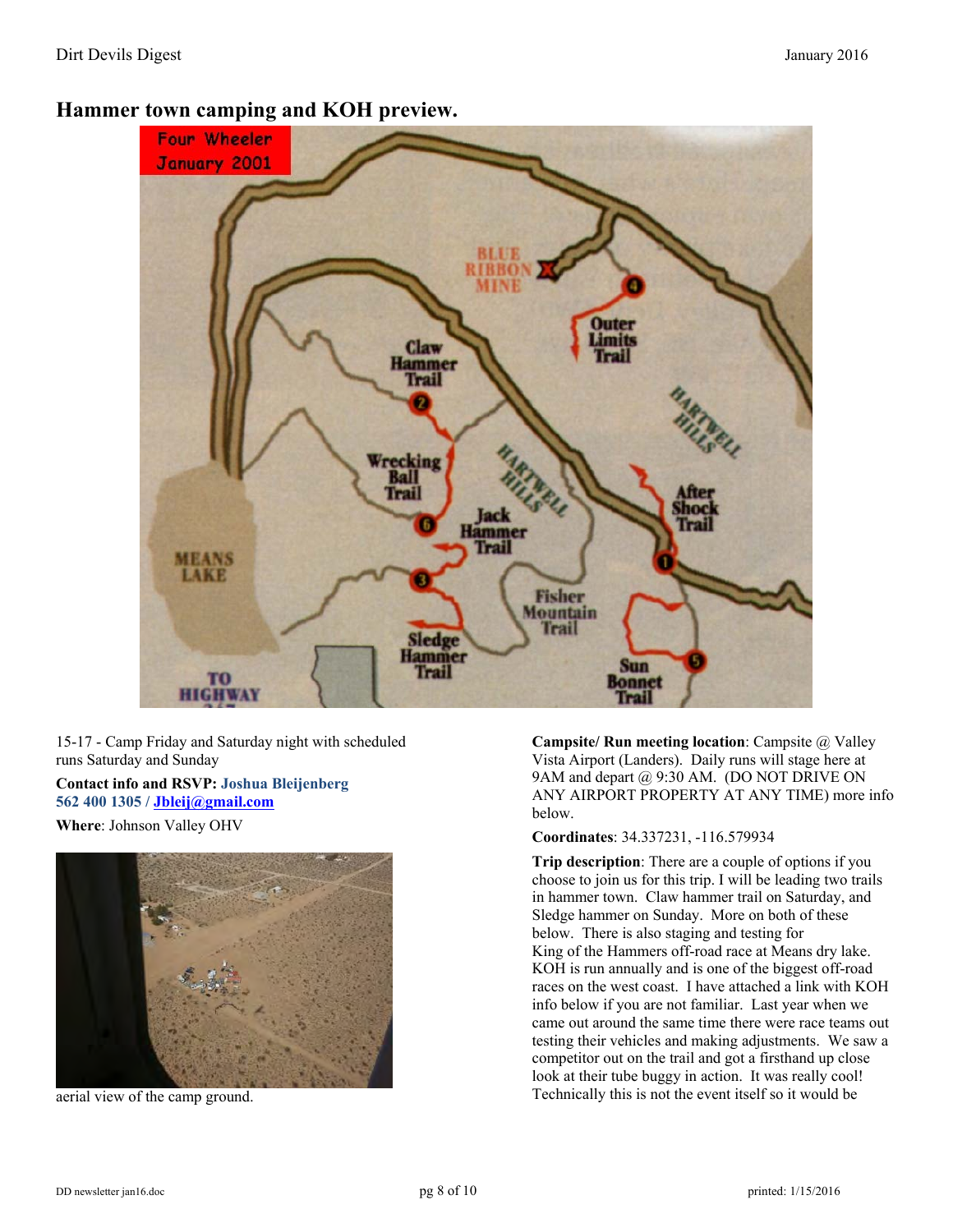

# **Hammer town camping and KOH preview.**

15-17 - Camp Friday and Saturday night with scheduled runs Saturday and Sunday

### **Contact info and RSVP: Joshua Bleijenberg 562 400 1305 / Jbleij@gmail.com**

**Where**: Johnson Valley OHV



aerial view of the camp ground.

**Campsite/ Run meeting location**: Campsite @ Valley Vista Airport (Landers). Daily runs will stage here at 9AM and depart @ 9:30 AM. (DO NOT DRIVE ON ANY AIRPORT PROPERTY AT ANY TIME) more info below.

#### **Coordinates**: 34.337231, -116.579934

**Trip description**: There are a couple of options if you choose to join us for this trip. I will be leading two trails in hammer town. Claw hammer trail on Saturday, and Sledge hammer on Sunday. More on both of these below. There is also staging and testing for King of the Hammers off-road race at Means dry lake. KOH is run annually and is one of the biggest off-road races on the west coast. I have attached a link with KOH info below if you are not familiar. Last year when we came out around the same time there were race teams out testing their vehicles and making adjustments. We saw a competitor out on the trail and got a firsthand up close look at their tube buggy in action. It was really cool! Technically this is not the event itself so it would be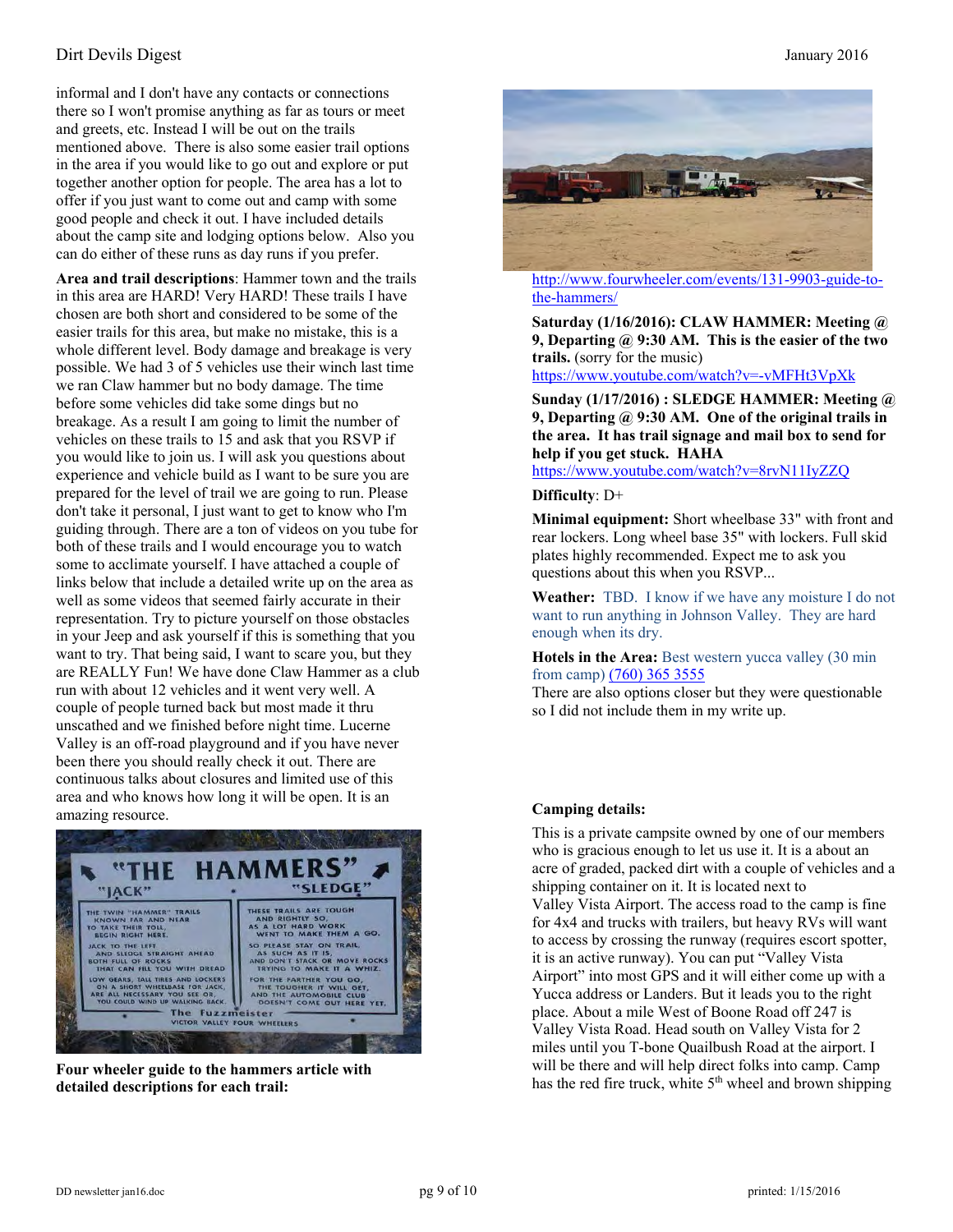informal and I don't have any contacts or connections there so I won't promise anything as far as tours or meet and greets, etc. Instead I will be out on the trails mentioned above. There is also some easier trail options in the area if you would like to go out and explore or put together another option for people. The area has a lot to offer if you just want to come out and camp with some good people and check it out. I have included details about the camp site and lodging options below. Also you can do either of these runs as day runs if you prefer.

**Area and trail descriptions**: Hammer town and the trails in this area are HARD! Very HARD! These trails I have chosen are both short and considered to be some of the easier trails for this area, but make no mistake, this is a whole different level. Body damage and breakage is very possible. We had 3 of 5 vehicles use their winch last time we ran Claw hammer but no body damage. The time before some vehicles did take some dings but no breakage. As a result I am going to limit the number of vehicles on these trails to 15 and ask that you RSVP if you would like to join us. I will ask you questions about experience and vehicle build as I want to be sure you are prepared for the level of trail we are going to run. Please don't take it personal, I just want to get to know who I'm guiding through. There are a ton of videos on you tube for both of these trails and I would encourage you to watch some to acclimate yourself. I have attached a couple of links below that include a detailed write up on the area as well as some videos that seemed fairly accurate in their representation. Try to picture yourself on those obstacles in your Jeep and ask yourself if this is something that you want to try. That being said, I want to scare you, but they are REALLY Fun! We have done Claw Hammer as a club run with about 12 vehicles and it went very well. A couple of people turned back but most made it thru unscathed and we finished before night time. Lucerne Valley is an off-road playground and if you have never been there you should really check it out. There are continuous talks about closures and limited use of this area and who knows how long it will be open. It is an amazing resource.



**Four wheeler guide to the hammers article with detailed descriptions for each trail:** 



http://www.fourwheeler.com/events/131-9903-guide-tothe-hammers/

**Saturday (1/16/2016): CLAW HAMMER: Meeting @ 9, Departing @ 9:30 AM. This is the easier of the two trails.** (sorry for the music)

https://www.youtube.com/watch?v=-vMFHt3VpXk

**Sunday (1/17/2016) : SLEDGE HAMMER: Meeting @ 9, Departing @ 9:30 AM. One of the original trails in the area. It has trail signage and mail box to send for help if you get stuck. HAHA** 

https://www.youtube.com/watch?v=8rvN11IyZZQ

#### **Difficulty**: D+

**Minimal equipment:** Short wheelbase 33" with front and rear lockers. Long wheel base 35" with lockers. Full skid plates highly recommended. Expect me to ask you questions about this when you RSVP...

**Weather:** TBD. I know if we have any moisture I do not want to run anything in Johnson Valley. They are hard enough when its dry.

#### **Hotels in the Area:** Best western yucca valley (30 min) from camp) (760) 365 3555

There are also options closer but they were questionable so I did not include them in my write up.

#### **Camping details:**

This is a private campsite owned by one of our members who is gracious enough to let us use it. It is a about an acre of graded, packed dirt with a couple of vehicles and a shipping container on it. It is located next to Valley Vista Airport. The access road to the camp is fine for 4x4 and trucks with trailers, but heavy RVs will want to access by crossing the runway (requires escort spotter, it is an active runway). You can put "Valley Vista Airport" into most GPS and it will either come up with a Yucca address or Landers. But it leads you to the right place. About a mile West of Boone Road off 247 is Valley Vista Road. Head south on Valley Vista for 2 miles until you T-bone Quailbush Road at the airport. I will be there and will help direct folks into camp. Camp has the red fire truck, white  $5<sup>th</sup>$  wheel and brown shipping